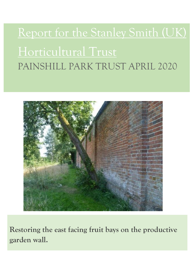# Report for the Stanley Smith (UK) Horticultural Trust PAINSHILL PARK TRUST APRIL 2020



**Restoring the east facing fruit bays on the productive garden wall.**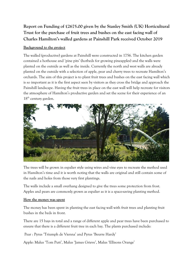# **Report on Funding of £2675.00 given by the Stanley Smith (UK) Horticultural Trust for the purchase of fruit trees and bushes on the east facing wall of Charles Hamilton's walled gardens at Painshill Park received October 2019**

### **Background to the project**

The walled (productive) gardens at Painshill were constructed in 1756. The kitchen garden contained a hothouse and 'pine pits' (hotbeds for growing pineapples) and the walls were planted on the outside as well as the inside. Currently the north and west walls are already planted on the outside with a selection of apple, pear and cherry trees to recreate Hamilton's orchards. The aim of this project is to plant fruit trees and bushes on the east facing wall which is so important as it is the first aspect seen by visitors as they cross the bridge and approach the Painshill landscape. Having the fruit trees in place on the east wall will help recreate for visitors the atmosphere of Hamilton's productive garden and set the scene for their experience of an 18<sup>th</sup> century garden.



The trees will be grown in espalier style using wires and vine eyes to recreate the method used in Hamilton's time and it is worth noting that the walls are original and still contain some of the nails and holes from those very first plantings.

The walls include a small overhang designed to give the trees some protection from frost. Apples and pears are commonly grown as espalier as it is a space-saving planting method.

#### **How the money was spent**

The money has been spent in planting the east facing wall with fruit trees and planting fruit bushes in the beds in front.

There are 15 bays in total and a range of different apple and pear trees have been purchased to ensure that there is a different fruit tree in each bay. The plants purchased include:

Pear : Pyrus 'Triumph de Vienna' and Pyrus 'Beurre Hardy'

Apple: Malus 'Tom Putt', Malus 'James Grieve', Malus 'Ellisons Orange'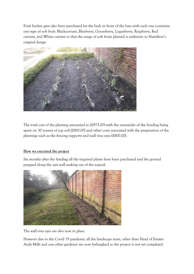Fruit bushes gave also been purchased for the beds in front of the bays with each one containin one type of soft fruit: Blackcurrant, Blueberry, Gooseberry, Loganberry, Raspberry, Red currant, and White currant so that the range of soft fruits planted is authentic to Hamilton's original design



The total cost of the planting amounted to (£975.00) with the remainder of the funding being spent on 30 tonnes of top soil (£800.00) and other costs associated with the preparation of the plantings such as the fencing supports and wall vine eyes (£800.00).

# **How we executed the project**

Six months after the funding all the required plants have been purchased and the ground prepped along the east wall making use of the topsoil.



The wall vine eyes are also now in place.

However due to the Covid 19 pandemic all the landscape team, other than Head of Estates Andy Mills and one other gardener are now furloughed so the project is not yet completed.